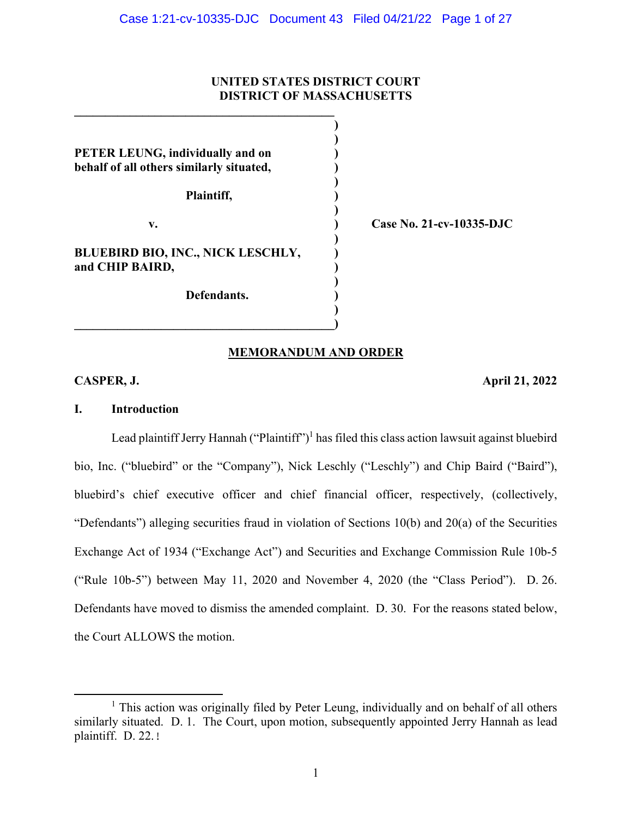## **UNITED STATES DISTRICT COURT DISTRICT OF MASSACHUSETTS**

 **) PETER LEUNG, individually and on behalf of all others similarly situated, ) )** 

 **Plaintiff, ) )** 

 **)** 

 **)** 

 **)**   $\overline{\phantom{a}}$ 

 $\mathcal{L} = \{ \mathcal{L} \}$  **)** 

**BLUEBIRD BIO, INC., NICK LESCHLY, and CHIP BAIRD, )** 

 **Defendants. )** 

 **v. ) Case No. 21-cv-10335-DJC** 

### **MEMORANDUM AND ORDER**

## **CASPER, J. April 21, 2022**

### **I. Introduction**

Lead plaintiff Jerry Hannah ("Plaintiff")<sup>1</sup> has filed this class action lawsuit against bluebird bio, Inc. ("bluebird" or the "Company"), Nick Leschly ("Leschly") and Chip Baird ("Baird"), bluebird's chief executive officer and chief financial officer, respectively, (collectively, "Defendants") alleging securities fraud in violation of Sections 10(b) and 20(a) of the Securities Exchange Act of 1934 ("Exchange Act") and Securities and Exchange Commission Rule 10b-5 ("Rule 10b-5") between May 11, 2020 and November 4, 2020 (the "Class Period"). D. 26. Defendants have moved to dismiss the amended complaint. D. 30. For the reasons stated below, the Court ALLOWS the motion.

<sup>&</sup>lt;sup>1</sup> This action was originally filed by Peter Leung, individually and on behalf of all others similarly situated. D. 1. The Court, upon motion, subsequently appointed Jerry Hannah as lead plaintiff. D. 22.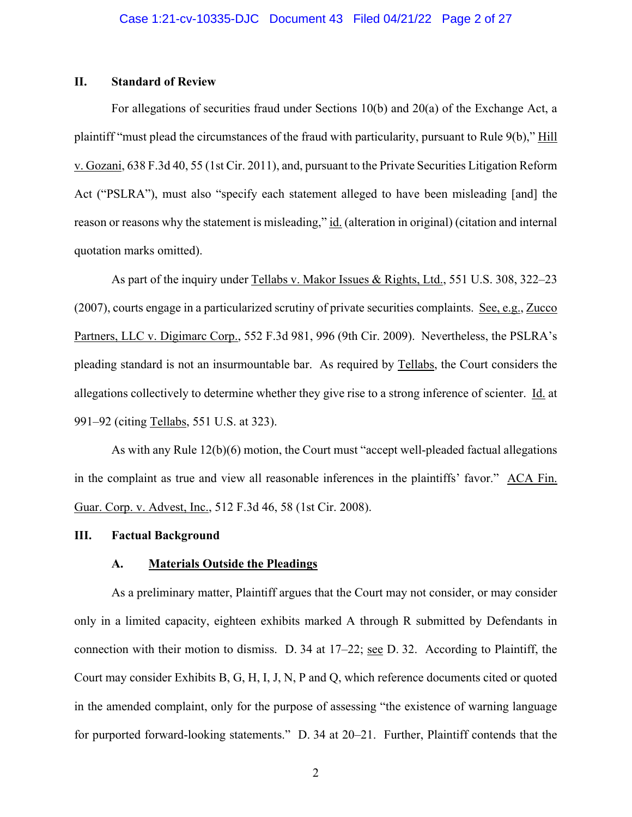### **II. Standard of Review**

For allegations of securities fraud under Sections 10(b) and 20(a) of the Exchange Act, a plaintiff "must plead the circumstances of the fraud with particularity, pursuant to Rule 9(b)," Hill v. Gozani, 638 F.3d 40, 55 (1st Cir. 2011), and, pursuant to the Private Securities Litigation Reform Act ("PSLRA"), must also "specify each statement alleged to have been misleading [and] the reason or reasons why the statement is misleading," id. (alteration in original) (citation and internal quotation marks omitted).

 As part of the inquiry under Tellabs v. Makor Issues & Rights, Ltd., 551 U.S. 308, 322–23 (2007), courts engage in a particularized scrutiny of private securities complaints. See, e.g., Zucco Partners, LLC v. Digimarc Corp., 552 F.3d 981, 996 (9th Cir. 2009). Nevertheless, the PSLRA's pleading standard is not an insurmountable bar. As required by Tellabs, the Court considers the allegations collectively to determine whether they give rise to a strong inference of scienter. Id. at 991–92 (citing Tellabs, 551 U.S. at 323).

 As with any Rule 12(b)(6) motion, the Court must "accept well-pleaded factual allegations in the complaint as true and view all reasonable inferences in the plaintiffs' favor." ACA Fin. Guar. Corp. v. Advest, Inc., 512 F.3d 46, 58 (1st Cir. 2008).

#### **III. Factual Background**

### **A. Materials Outside the Pleadings**

As a preliminary matter, Plaintiff argues that the Court may not consider, or may consider only in a limited capacity, eighteen exhibits marked A through R submitted by Defendants in connection with their motion to dismiss. D. 34 at 17–22; see D. 32. According to Plaintiff, the Court may consider Exhibits B, G, H, I, J, N, P and Q, which reference documents cited or quoted in the amended complaint, only for the purpose of assessing "the existence of warning language for purported forward-looking statements." D. 34 at 20–21. Further, Plaintiff contends that the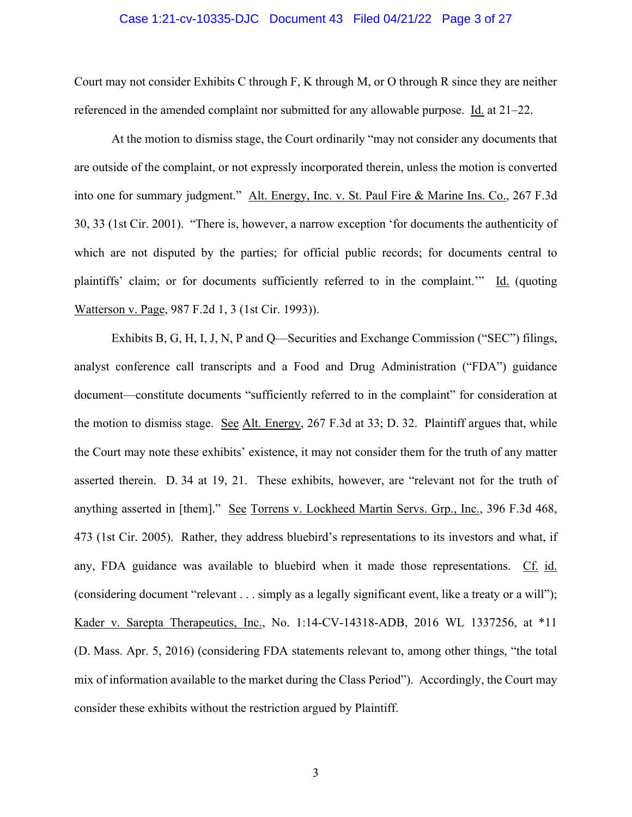#### Case 1:21-cv-10335-DJC Document 43 Filed 04/21/22 Page 3 of 27

Court may not consider Exhibits C through F, K through M, or O through R since they are neither referenced in the amended complaint nor submitted for any allowable purpose. Id. at 21–22.

At the motion to dismiss stage, the Court ordinarily "may not consider any documents that are outside of the complaint, or not expressly incorporated therein, unless the motion is converted into one for summary judgment." Alt. Energy, Inc. v. St. Paul Fire & Marine Ins. Co., 267 F.3d 30, 33 (1st Cir. 2001). "There is, however, a narrow exception 'for documents the authenticity of which are not disputed by the parties; for official public records; for documents central to plaintiffs' claim; or for documents sufficiently referred to in the complaint.'" Id. (quoting Watterson v. Page, 987 F.2d 1, 3 (1st Cir. 1993)).

 Exhibits B, G, H, I, J, N, P and Q—Securities and Exchange Commission ("SEC") filings, analyst conference call transcripts and a Food and Drug Administration ("FDA") guidance document—constitute documents "sufficiently referred to in the complaint" for consideration at the motion to dismiss stage. See Alt. Energy, 267 F.3d at 33; D. 32. Plaintiff argues that, while the Court may note these exhibits' existence, it may not consider them for the truth of any matter asserted therein. D. 34 at 19, 21. These exhibits, however, are "relevant not for the truth of anything asserted in [them]." See Torrens v. Lockheed Martin Servs. Grp., Inc., 396 F.3d 468, 473 (1st Cir. 2005). Rather, they address bluebird's representations to its investors and what, if any, FDA guidance was available to bluebird when it made those representations. Cf. id. (considering document "relevant . . . simply as a legally significant event, like a treaty or a will"); Kader v. Sarepta Therapeutics, Inc., No. 1:14-CV-14318-ADB, 2016 WL 1337256, at \*11 (D. Mass. Apr. 5, 2016) (considering FDA statements relevant to, among other things, "the total mix of information available to the market during the Class Period"). Accordingly, the Court may consider these exhibits without the restriction argued by Plaintiff.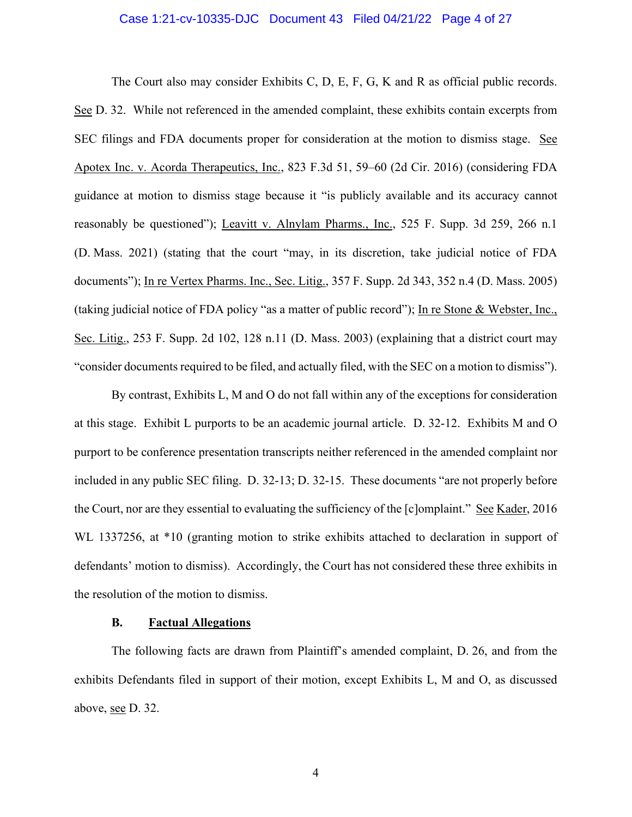### Case 1:21-cv-10335-DJC Document 43 Filed 04/21/22 Page 4 of 27

 The Court also may consider Exhibits C, D, E, F, G, K and R as official public records. See D. 32. While not referenced in the amended complaint, these exhibits contain excerpts from SEC filings and FDA documents proper for consideration at the motion to dismiss stage. See Apotex Inc. v. Acorda Therapeutics, Inc., 823 F.3d 51, 59–60 (2d Cir. 2016) (considering FDA guidance at motion to dismiss stage because it "is publicly available and its accuracy cannot reasonably be questioned"); Leavitt v. Alnylam Pharms., Inc., 525 F. Supp. 3d 259, 266 n.1 (D. Mass. 2021) (stating that the court "may, in its discretion, take judicial notice of FDA documents"); In re Vertex Pharms. Inc., Sec. Litig., 357 F. Supp. 2d 343, 352 n.4 (D. Mass. 2005) (taking judicial notice of FDA policy "as a matter of public record"); In re Stone & Webster, Inc., Sec. Litig., 253 F. Supp. 2d 102, 128 n.11 (D. Mass. 2003) (explaining that a district court may "consider documents required to be filed, and actually filed, with the SEC on a motion to dismiss").

 By contrast, Exhibits L, M and O do not fall within any of the exceptions for consideration at this stage. Exhibit L purports to be an academic journal article. D. 32-12. Exhibits M and O purport to be conference presentation transcripts neither referenced in the amended complaint nor included in any public SEC filing. D. 32-13; D. 32-15. These documents "are not properly before the Court, nor are they essential to evaluating the sufficiency of the [c]omplaint." See Kader, 2016 WL 1337256, at \*10 (granting motion to strike exhibits attached to declaration in support of defendants' motion to dismiss). Accordingly, the Court has not considered these three exhibits in the resolution of the motion to dismiss.

### **B. Factual Allegations**

The following facts are drawn from Plaintiff's amended complaint, D. 26, and from the exhibits Defendants filed in support of their motion, except Exhibits L, M and O, as discussed above, see D. 32.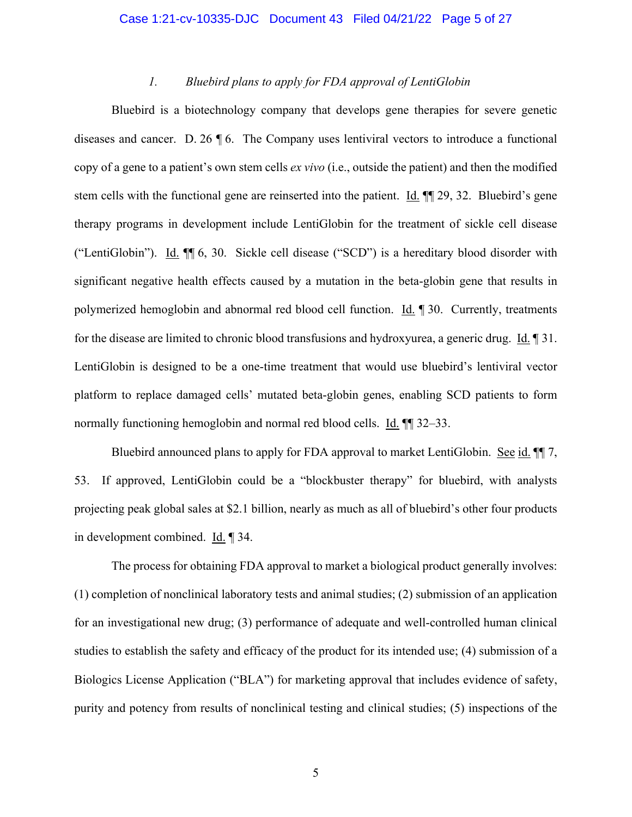#### Case 1:21-cv-10335-DJC Document 43 Filed 04/21/22 Page 5 of 27

### *1. Bluebird plans to apply for FDA approval of LentiGlobin*

Bluebird is a biotechnology company that develops gene therapies for severe genetic diseases and cancer. D. 26 ¶ 6. The Company uses lentiviral vectors to introduce a functional copy of a gene to a patient's own stem cells *ex vivo* (i.e., outside the patient) and then the modified stem cells with the functional gene are reinserted into the patient. Id. ¶¶ 29, 32.Bluebird's gene therapy programs in development include LentiGlobin for the treatment of sickle cell disease ("LentiGlobin"). Id. ¶¶ 6, 30. Sickle cell disease ("SCD") is a hereditary blood disorder with significant negative health effects caused by a mutation in the beta-globin gene that results in polymerized hemoglobin and abnormal red blood cell function. Id. ¶ 30. Currently, treatments for the disease are limited to chronic blood transfusions and hydroxyurea, a generic drug. Id. ¶ 31. LentiGlobin is designed to be a one-time treatment that would use bluebird's lentiviral vector platform to replace damaged cells' mutated beta-globin genes, enabling SCD patients to form normally functioning hemoglobin and normal red blood cells. Id. ¶¶ 32–33.

Bluebird announced plans to apply for FDA approval to market LentiGlobin. See id. ¶¶ 7, 53.If approved, LentiGlobin could be a "blockbuster therapy" for bluebird, with analysts projecting peak global sales at \$2.1 billion, nearly as much as all of bluebird's other four products in development combined. Id. ¶ 34.

The process for obtaining FDA approval to market a biological product generally involves: (1) completion of nonclinical laboratory tests and animal studies; (2) submission of an application for an investigational new drug; (3) performance of adequate and well-controlled human clinical studies to establish the safety and efficacy of the product for its intended use; (4) submission of a Biologics License Application ("BLA") for marketing approval that includes evidence of safety, purity and potency from results of nonclinical testing and clinical studies; (5) inspections of the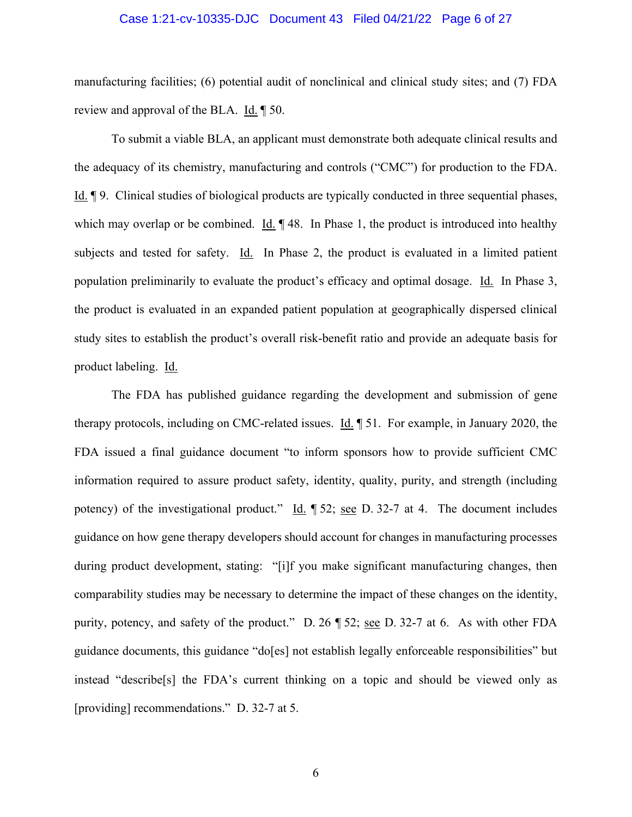## Case 1:21-cv-10335-DJC Document 43 Filed 04/21/22 Page 6 of 27

manufacturing facilities; (6) potential audit of nonclinical and clinical study sites; and (7) FDA review and approval of the BLA. Id. ¶ 50.

To submit a viable BLA, an applicant must demonstrate both adequate clinical results and the adequacy of its chemistry, manufacturing and controls ("CMC") for production to the FDA. Id. ¶ 9.Clinical studies of biological products are typically conducted in three sequential phases, which may overlap or be combined. Id.  $\parallel$  48. In Phase 1, the product is introduced into healthy subjects and tested for safety. Id. In Phase 2, the product is evaluated in a limited patient population preliminarily to evaluate the product's efficacy and optimal dosage. Id. In Phase 3, the product is evaluated in an expanded patient population at geographically dispersed clinical study sites to establish the product's overall risk-benefit ratio and provide an adequate basis for product labeling. Id.

The FDA has published guidance regarding the development and submission of gene therapy protocols, including on CMC-related issues. Id. ¶ 51. For example, in January 2020, the FDA issued a final guidance document "to inform sponsors how to provide sufficient CMC information required to assure product safety, identity, quality, purity, and strength (including potency) of the investigational product." Id.  $\parallel$  52; <u>see</u> D. 32-7 at 4. The document includes guidance on how gene therapy developers should account for changes in manufacturing processes during product development, stating: "[i]f you make significant manufacturing changes, then comparability studies may be necessary to determine the impact of these changes on the identity, purity, potency, and safety of the product." D. 26 ¶ 52; see D. 32-7 at 6. As with other FDA guidance documents, this guidance "do[es] not establish legally enforceable responsibilities" but instead "describe[s] the FDA's current thinking on a topic and should be viewed only as [providing] recommendations." D. 32-7 at 5.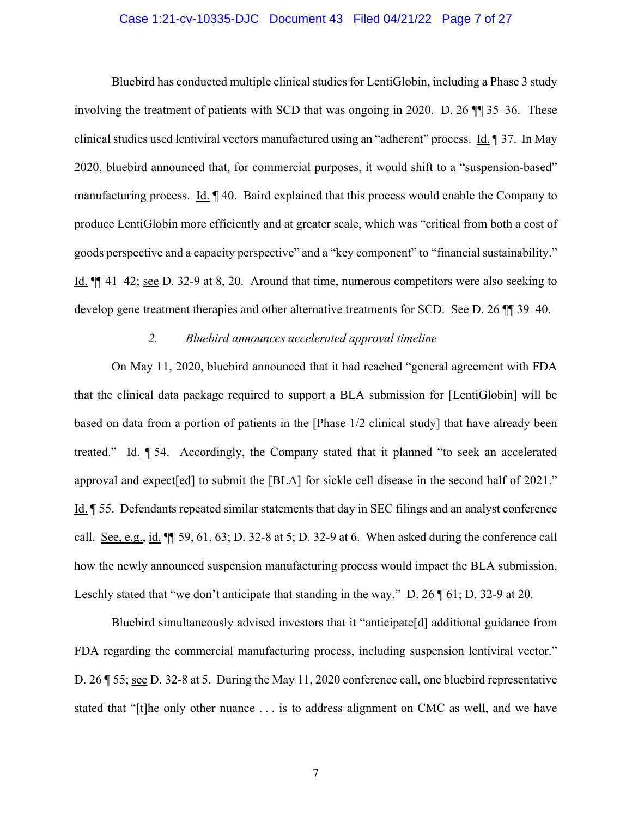## Case 1:21-cv-10335-DJC Document 43 Filed 04/21/22 Page 7 of 27

Bluebird has conducted multiple clinical studies for LentiGlobin, including a Phase 3 study involving the treatment of patients with SCD that was ongoing in 2020. D. 26 ¶¶ 35–36. These clinical studies used lentiviral vectors manufactured using an "adherent" process. Id. ¶ 37.In May 2020, bluebird announced that, for commercial purposes, it would shift to a "suspension-based" manufacturing process. Id. ¶ 40. Baird explained that this process would enable the Company to produce LentiGlobin more efficiently and at greater scale, which was "critical from both a cost of goods perspective and a capacity perspective" and a "key component" to "financial sustainability." Id. ¶¶ 41–42; see D. 32-9 at 8, 20. Around that time, numerous competitors were also seeking to develop gene treatment therapies and other alternative treatments for SCD. See D. 26 ¶¶ 39–40.

#### *2. Bluebird announces accelerated approval timeline*

On May 11, 2020, bluebird announced that it had reached "general agreement with FDA that the clinical data package required to support a BLA submission for [LentiGlobin] will be based on data from a portion of patients in the [Phase 1/2 clinical study] that have already been treated." Id. ¶ 54. Accordingly, the Company stated that it planned "to seek an accelerated approval and expect[ed] to submit the [BLA] for sickle cell disease in the second half of 2021." Id. ¶ 55. Defendants repeated similar statements that day in SEC filings and an analyst conference call. See, e.g., id. ¶¶ 59, 61, 63; D. 32-8 at 5; D. 32-9 at 6.When asked during the conference call how the newly announced suspension manufacturing process would impact the BLA submission, Leschly stated that "we don't anticipate that standing in the way." D. 26  $\parallel$  61; D. 32-9 at 20.

Bluebird simultaneously advised investors that it "anticipate[d] additional guidance from FDA regarding the commercial manufacturing process, including suspension lentiviral vector." D. 26 ¶ 55; see D. 32-8 at 5. During the May 11, 2020 conference call, one bluebird representative stated that "[t]he only other nuance . . . is to address alignment on CMC as well, and we have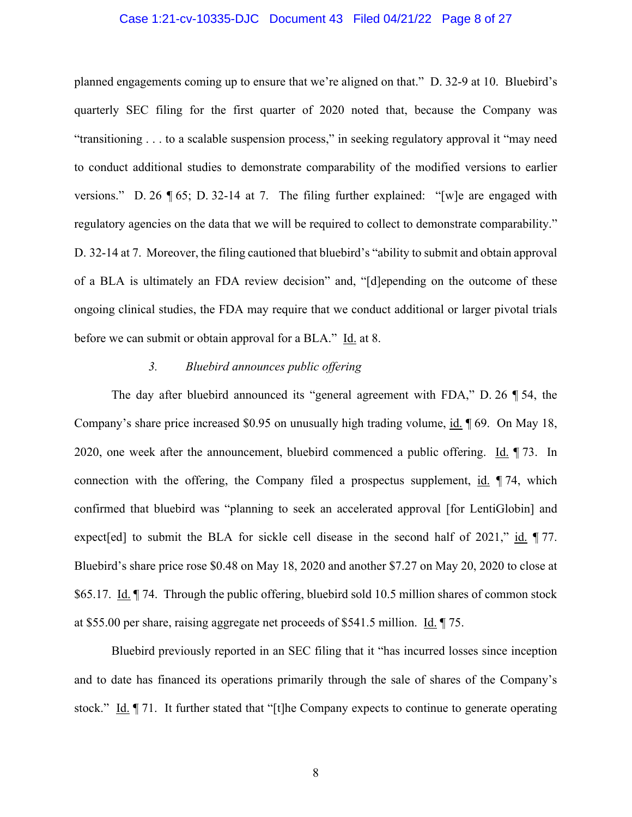### Case 1:21-cv-10335-DJC Document 43 Filed 04/21/22 Page 8 of 27

planned engagements coming up to ensure that we're aligned on that." D. 32-9 at 10. Bluebird's quarterly SEC filing for the first quarter of 2020 noted that, because the Company was "transitioning . . . to a scalable suspension process," in seeking regulatory approval it "may need to conduct additional studies to demonstrate comparability of the modified versions to earlier versions." D. 26 ¶ 65; D. 32-14 at 7. The filing further explained: "[w]e are engaged with regulatory agencies on the data that we will be required to collect to demonstrate comparability." D. 32-14 at 7. Moreover, the filing cautioned that bluebird's "ability to submit and obtain approval of a BLA is ultimately an FDA review decision" and, "[d]epending on the outcome of these ongoing clinical studies, the FDA may require that we conduct additional or larger pivotal trials before we can submit or obtain approval for a BLA." Id. at 8.

### *3. Bluebird announces public offering*

The day after bluebird announced its "general agreement with FDA," D. 26 ¶ 54, the Company's share price increased \$0.95 on unusually high trading volume, id. ¶ 69. On May 18, 2020, one week after the announcement, bluebird commenced a public offering. Id. ¶ 73.In connection with the offering, the Company filed a prospectus supplement,  $id$ .  $\parallel$  74, which confirmed that bluebird was "planning to seek an accelerated approval [for LentiGlobin] and expect[ed] to submit the BLA for sickle cell disease in the second half of 2021," id.  $\parallel$  77. Bluebird's share price rose \$0.48 on May 18, 2020 and another \$7.27 on May 20, 2020 to close at \$65.17. Id. ¶ 74. Through the public offering, bluebird sold 10.5 million shares of common stock at \$55.00 per share, raising aggregate net proceeds of \$541.5 million. Id. ¶ 75.

Bluebird previously reported in an SEC filing that it "has incurred losses since inception and to date has financed its operations primarily through the sale of shares of the Company's stock." Id. | 71. It further stated that "[t]he Company expects to continue to generate operating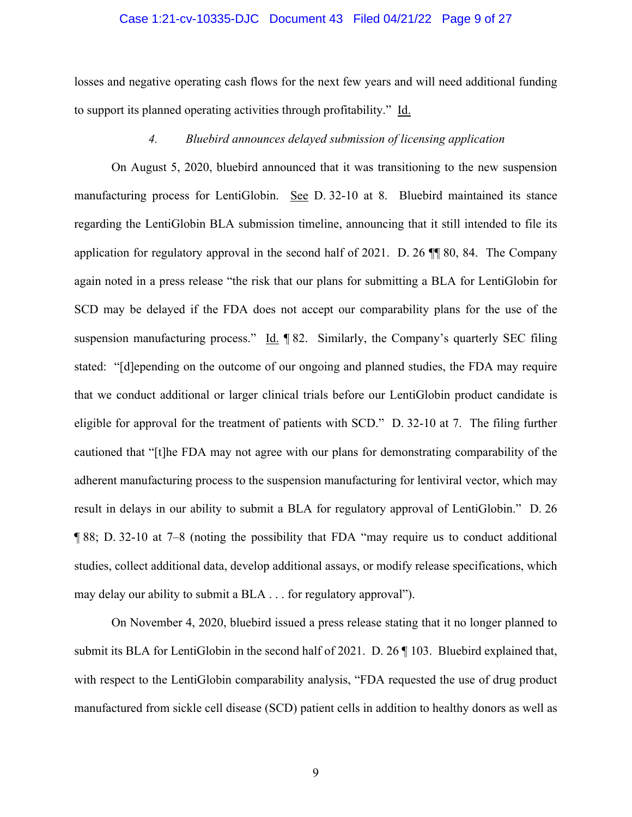### Case 1:21-cv-10335-DJC Document 43 Filed 04/21/22 Page 9 of 27

losses and negative operating cash flows for the next few years and will need additional funding to support its planned operating activities through profitability." Id.

#### *4. Bluebird announces delayed submission of licensing application*

On August 5, 2020, bluebird announced that it was transitioning to the new suspension manufacturing process for LentiGlobin. See D. 32-10 at 8.Bluebird maintained its stance regarding the LentiGlobin BLA submission timeline, announcing that it still intended to file its application for regulatory approval in the second half of 2021. D. 26 ¶¶ 80, 84.The Company again noted in a press release "the risk that our plans for submitting a BLA for LentiGlobin for SCD may be delayed if the FDA does not accept our comparability plans for the use of the suspension manufacturing process." Id. ¶ 82.Similarly, the Company's quarterly SEC filing stated: "[d]epending on the outcome of our ongoing and planned studies, the FDA may require that we conduct additional or larger clinical trials before our LentiGlobin product candidate is eligible for approval for the treatment of patients with SCD." D. 32-10 at 7. The filing further cautioned that "[t]he FDA may not agree with our plans for demonstrating comparability of the adherent manufacturing process to the suspension manufacturing for lentiviral vector, which may result in delays in our ability to submit a BLA for regulatory approval of LentiGlobin." D. 26 ¶ 88; D. 32-10 at 7–8 (noting the possibility that FDA "may require us to conduct additional studies, collect additional data, develop additional assays, or modify release specifications, which may delay our ability to submit a BLA . . . for regulatory approval").

On November 4, 2020, bluebird issued a press release stating that it no longer planned to submit its BLA for LentiGlobin in the second half of 2021. D. 26 ¶ 103. Bluebird explained that, with respect to the LentiGlobin comparability analysis, "FDA requested the use of drug product manufactured from sickle cell disease (SCD) patient cells in addition to healthy donors as well as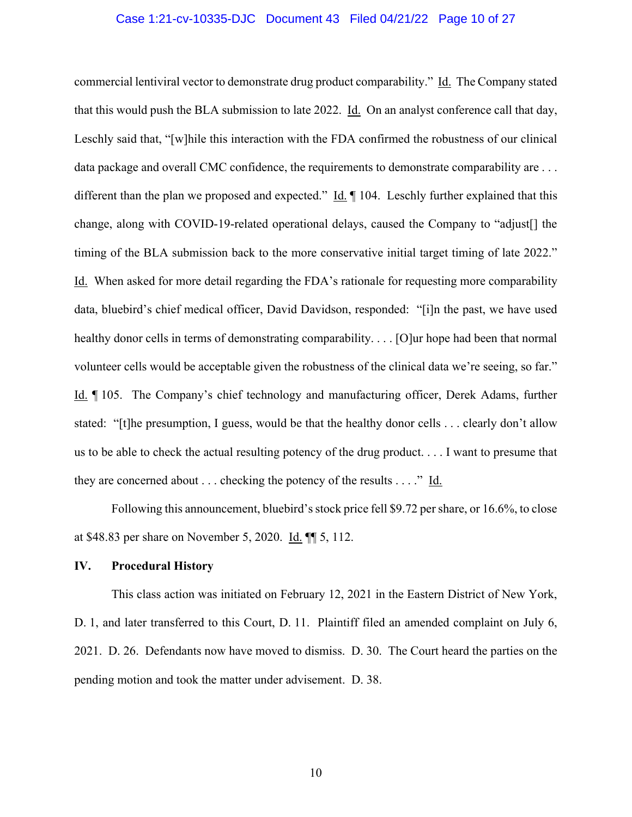### Case 1:21-cv-10335-DJC Document 43 Filed 04/21/22 Page 10 of 27

commercial lentiviral vector to demonstrate drug product comparability." Id. The Company stated that this would push the BLA submission to late 2022. Id.On an analyst conference call that day, Leschly said that, "[w]hile this interaction with the FDA confirmed the robustness of our clinical data package and overall CMC confidence, the requirements to demonstrate comparability are . . . different than the plan we proposed and expected." Id. ¶ 104. Leschly further explained that this change, along with COVID-19-related operational delays, caused the Company to "adjust[] the timing of the BLA submission back to the more conservative initial target timing of late 2022." Id.When asked for more detail regarding the FDA's rationale for requesting more comparability data, bluebird's chief medical officer, David Davidson, responded: "[i]n the past, we have used healthy donor cells in terms of demonstrating comparability.... [O]ur hope had been that normal volunteer cells would be acceptable given the robustness of the clinical data we're seeing, so far." Id. ¶ 105. The Company's chief technology and manufacturing officer, Derek Adams, further stated: "[t]he presumption, I guess, would be that the healthy donor cells . . . clearly don't allow us to be able to check the actual resulting potency of the drug product. . . . I want to presume that they are concerned about  $\dots$  checking the potency of the results  $\dots$ ." Id.

Following this announcement, bluebird's stock price fell \$9.72 per share, or 16.6%, to close at \$48.83 per share on November 5, 2020. Id. ¶¶ 5, 112.

### **IV. Procedural History**

 This class action was initiated on February 12, 2021 in the Eastern District of New York, D. 1, and later transferred to this Court, D. 11. Plaintiff filed an amended complaint on July 6, 2021. D. 26. Defendants now have moved to dismiss. D. 30. The Court heard the parties on the pending motion and took the matter under advisement. D. 38.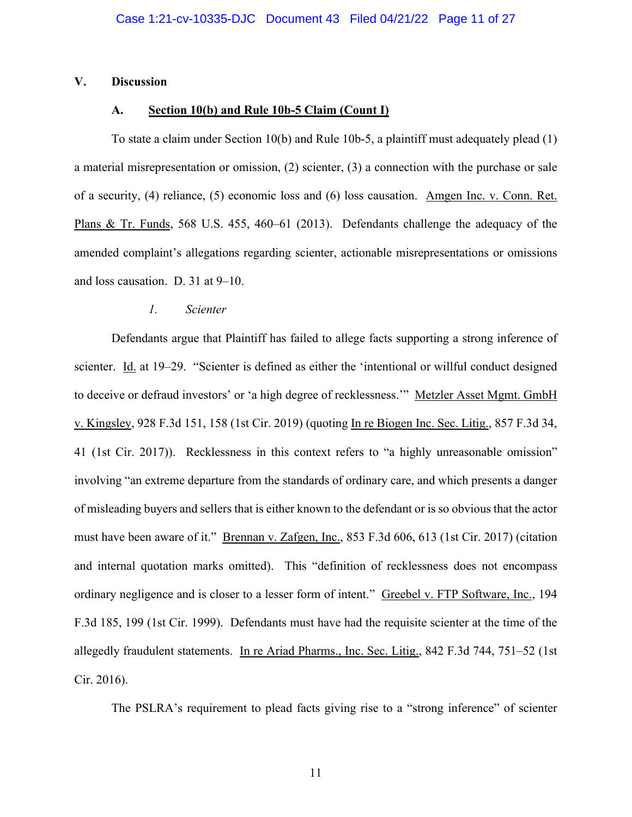### **V. Discussion**

#### **A. Section 10(b) and Rule 10b-5 Claim (Count I)**

To state a claim under Section 10(b) and Rule 10b-5, a plaintiff must adequately plead (1) a material misrepresentation or omission, (2) scienter, (3) a connection with the purchase or sale of a security, (4) reliance, (5) economic loss and (6) loss causation. Amgen Inc. v. Conn. Ret. Plans & Tr. Funds, 568 U.S. 455, 460–61 (2013). Defendants challenge the adequacy of the amended complaint's allegations regarding scienter, actionable misrepresentations or omissions and loss causation. D. 31 at 9–10.

#### *1. Scienter*

Defendants argue that Plaintiff has failed to allege facts supporting a strong inference of scienter. Id. at 19–29. "Scienter is defined as either the 'intentional or willful conduct designed to deceive or defraud investors' or 'a high degree of recklessness.'" Metzler Asset Mgmt. GmbH v. Kingsley, 928 F.3d 151, 158 (1st Cir. 2019) (quoting In re Biogen Inc. Sec. Litig., 857 F.3d 34, 41 (1st Cir. 2017)). Recklessness in this context refers to "a highly unreasonable omission" involving "an extreme departure from the standards of ordinary care, and which presents a danger of misleading buyers and sellers that is either known to the defendant or is so obvious that the actor must have been aware of it." Brennan v. Zafgen, Inc., 853 F.3d 606, 613 (1st Cir. 2017) (citation and internal quotation marks omitted). This "definition of recklessness does not encompass ordinary negligence and is closer to a lesser form of intent." Greebel v. FTP Software, Inc., 194 F.3d 185, 199 (1st Cir. 1999). Defendants must have had the requisite scienter at the time of the allegedly fraudulent statements. In re Ariad Pharms., Inc. Sec. Litig., 842 F.3d 744, 751–52 (1st Cir. 2016).

The PSLRA's requirement to plead facts giving rise to a "strong inference" of scienter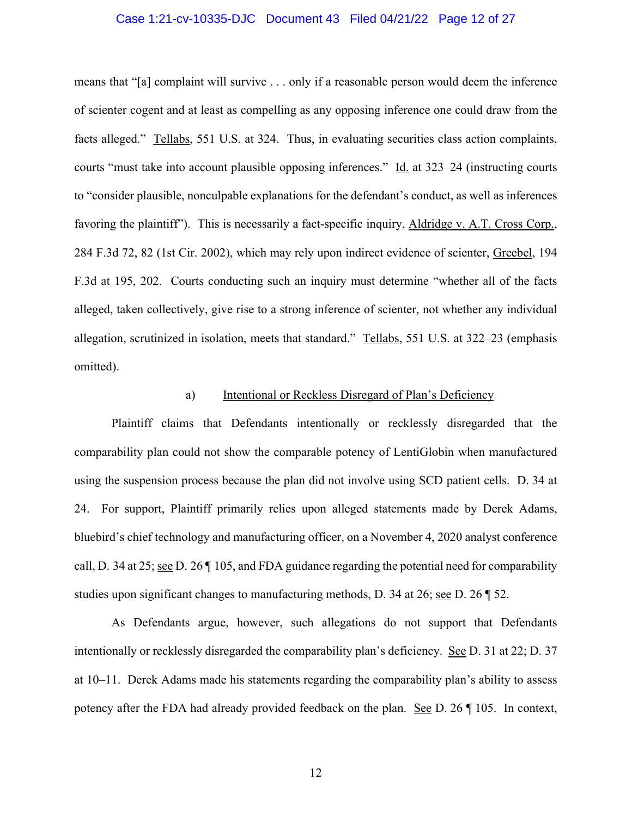## Case 1:21-cv-10335-DJC Document 43 Filed 04/21/22 Page 12 of 27

means that "[a] complaint will survive . . . only if a reasonable person would deem the inference of scienter cogent and at least as compelling as any opposing inference one could draw from the facts alleged." Tellabs, 551 U.S. at 324. Thus, in evaluating securities class action complaints, courts "must take into account plausible opposing inferences." Id. at 323–24 (instructing courts to "consider plausible, nonculpable explanations for the defendant's conduct, as well as inferences favoring the plaintiff"). This is necessarily a fact-specific inquiry, Aldridge v. A.T. Cross Corp., 284 F.3d 72, 82 (1st Cir. 2002), which may rely upon indirect evidence of scienter, Greebel, 194 F.3d at 195, 202. Courts conducting such an inquiry must determine "whether all of the facts alleged, taken collectively, give rise to a strong inference of scienter, not whether any individual allegation, scrutinized in isolation, meets that standard." Tellabs, 551 U.S. at 322–23 (emphasis omitted).

#### a) Intentional or Reckless Disregard of Plan's Deficiency

Plaintiff claims that Defendants intentionally or recklessly disregarded that the comparability plan could not show the comparable potency of LentiGlobin when manufactured using the suspension process because the plan did not involve using SCD patient cells. D. 34 at 24. For support, Plaintiff primarily relies upon alleged statements made by Derek Adams, bluebird's chief technology and manufacturing officer, on a November 4, 2020 analyst conference call, D. 34 at 25; see D. 26 ¶ 105, and FDA guidance regarding the potential need for comparability studies upon significant changes to manufacturing methods, D. 34 at 26; see D. 26 ¶ 52.

As Defendants argue, however, such allegations do not support that Defendants intentionally or recklessly disregarded the comparability plan's deficiency. See D. 31 at 22; D. 37 at 10–11. Derek Adams made his statements regarding the comparability plan's ability to assess potency after the FDA had already provided feedback on the plan. See D. 26 ¶ 105. In context,

12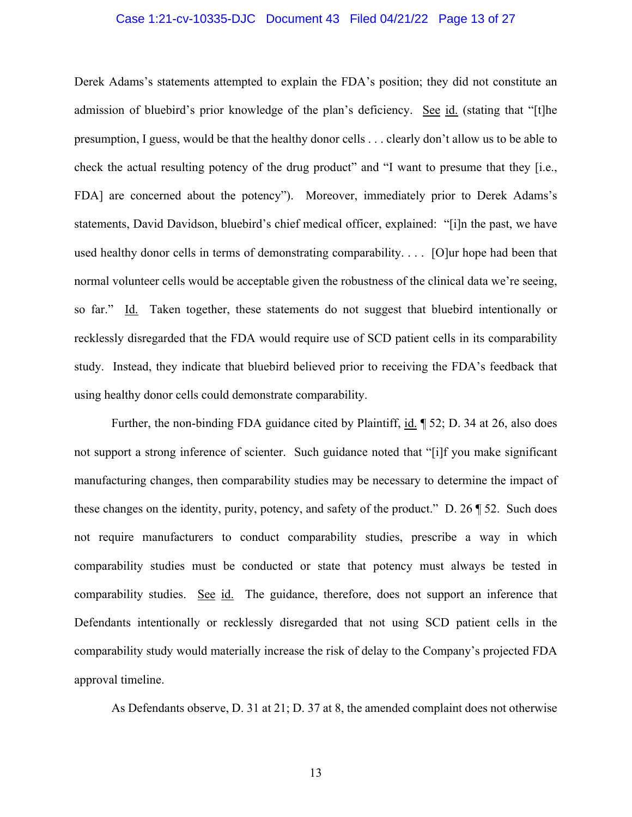### Case 1:21-cv-10335-DJC Document 43 Filed 04/21/22 Page 13 of 27

Derek Adams's statements attempted to explain the FDA's position; they did not constitute an admission of bluebird's prior knowledge of the plan's deficiency. See id. (stating that "[t]he presumption, I guess, would be that the healthy donor cells . . . clearly don't allow us to be able to check the actual resulting potency of the drug product" and "I want to presume that they [i.e., FDA] are concerned about the potency"). Moreover, immediately prior to Derek Adams's statements, David Davidson, bluebird's chief medical officer, explained: "[i]n the past, we have used healthy donor cells in terms of demonstrating comparability. . . . [O]ur hope had been that normal volunteer cells would be acceptable given the robustness of the clinical data we're seeing, so far." Id. Taken together, these statements do not suggest that bluebird intentionally or recklessly disregarded that the FDA would require use of SCD patient cells in its comparability study. Instead, they indicate that bluebird believed prior to receiving the FDA's feedback that using healthy donor cells could demonstrate comparability.

 Further, the non-binding FDA guidance cited by Plaintiff, id. ¶ 52; D. 34 at 26, also does not support a strong inference of scienter. Such guidance noted that "[i]f you make significant manufacturing changes, then comparability studies may be necessary to determine the impact of these changes on the identity, purity, potency, and safety of the product." D. 26 ¶ 52. Such does not require manufacturers to conduct comparability studies, prescribe a way in which comparability studies must be conducted or state that potency must always be tested in comparability studies. See id. The guidance, therefore, does not support an inference that Defendants intentionally or recklessly disregarded that not using SCD patient cells in the comparability study would materially increase the risk of delay to the Company's projected FDA approval timeline.

As Defendants observe, D. 31 at 21; D. 37 at 8, the amended complaint does not otherwise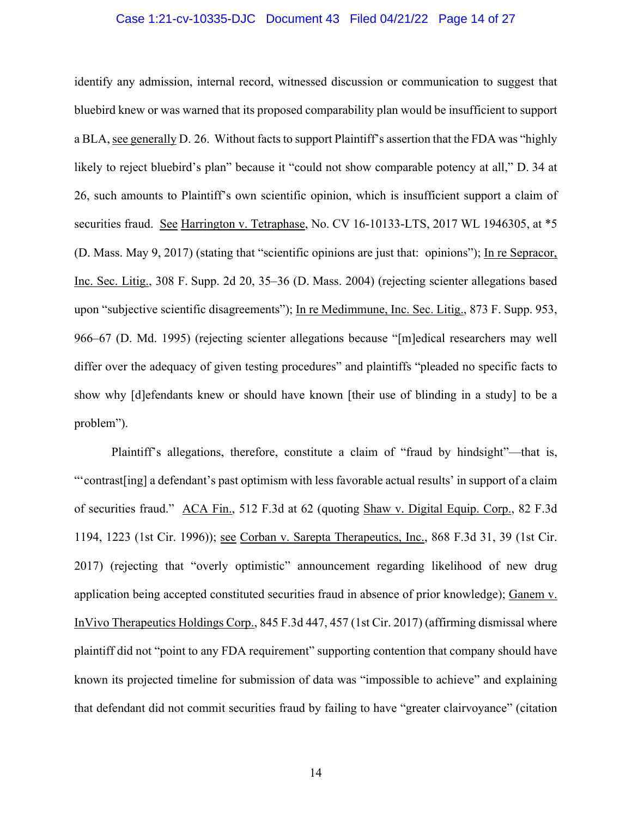## Case 1:21-cv-10335-DJC Document 43 Filed 04/21/22 Page 14 of 27

identify any admission, internal record, witnessed discussion or communication to suggest that bluebird knew or was warned that its proposed comparability plan would be insufficient to support a BLA, see generally D. 26. Without facts to support Plaintiff's assertion that the FDA was "highly likely to reject bluebird's plan" because it "could not show comparable potency at all," D. 34 at 26, such amounts to Plaintiff's own scientific opinion, which is insufficient support a claim of securities fraud. See Harrington v. Tetraphase, No. CV 16-10133-LTS, 2017 WL 1946305, at \*5 (D. Mass. May 9, 2017) (stating that "scientific opinions are just that: opinions"); In re Sepracor, Inc. Sec. Litig., 308 F. Supp. 2d 20, 35–36 (D. Mass. 2004) (rejecting scienter allegations based upon "subjective scientific disagreements"); In re Medimmune, Inc. Sec. Litig., 873 F. Supp. 953, 966–67 (D. Md. 1995) (rejecting scienter allegations because "[m]edical researchers may well differ over the adequacy of given testing procedures" and plaintiffs "pleaded no specific facts to show why [d]efendants knew or should have known [their use of blinding in a study] to be a problem").

Plaintiff's allegations, therefore, constitute a claim of "fraud by hindsight"—that is, "'contrast[ing] a defendant's past optimism with less favorable actual results' in support of a claim of securities fraud." ACA Fin., 512 F.3d at 62 (quoting Shaw v. Digital Equip. Corp., 82 F.3d 1194, 1223 (1st Cir. 1996)); see Corban v. Sarepta Therapeutics, Inc., 868 F.3d 31, 39 (1st Cir. 2017) (rejecting that "overly optimistic" announcement regarding likelihood of new drug application being accepted constituted securities fraud in absence of prior knowledge); Ganem v. InVivo Therapeutics Holdings Corp., 845 F.3d 447, 457 (1st Cir. 2017) (affirming dismissal where plaintiff did not "point to any FDA requirement" supporting contention that company should have known its projected timeline for submission of data was "impossible to achieve" and explaining that defendant did not commit securities fraud by failing to have "greater clairvoyance" (citation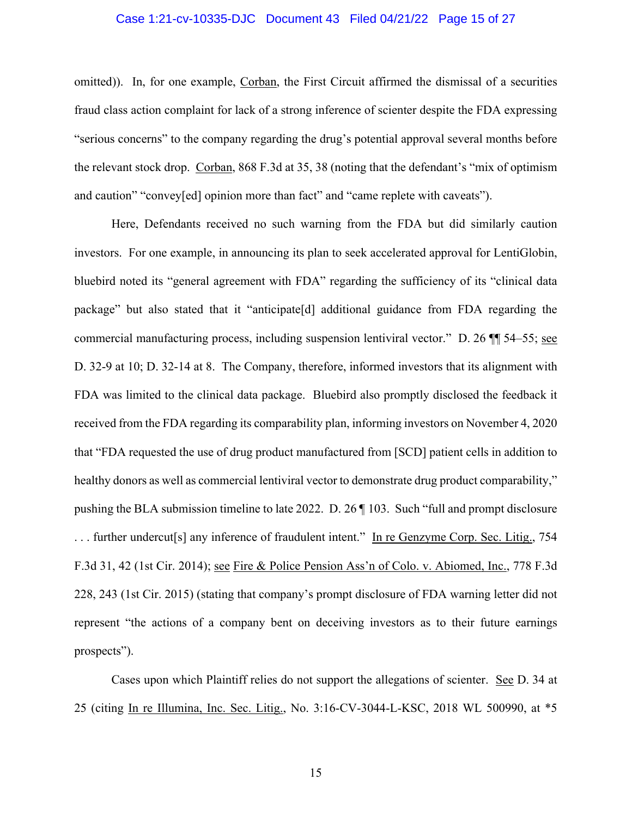## Case 1:21-cv-10335-DJC Document 43 Filed 04/21/22 Page 15 of 27

omitted)). In, for one example, Corban, the First Circuit affirmed the dismissal of a securities fraud class action complaint for lack of a strong inference of scienter despite the FDA expressing "serious concerns" to the company regarding the drug's potential approval several months before the relevant stock drop. Corban, 868 F.3d at 35, 38 (noting that the defendant's "mix of optimism and caution" "convey[ed] opinion more than fact" and "came replete with caveats").

Here, Defendants received no such warning from the FDA but did similarly caution investors. For one example, in announcing its plan to seek accelerated approval for LentiGlobin, bluebird noted its "general agreement with FDA" regarding the sufficiency of its "clinical data package" but also stated that it "anticipate[d] additional guidance from FDA regarding the commercial manufacturing process, including suspension lentiviral vector." D. 26 ¶¶ 54–55; see D. 32-9 at 10; D. 32-14 at 8. The Company, therefore, informed investors that its alignment with FDA was limited to the clinical data package. Bluebird also promptly disclosed the feedback it received from the FDA regarding its comparability plan, informing investors on November 4, 2020 that "FDA requested the use of drug product manufactured from [SCD] patient cells in addition to healthy donors as well as commercial lentiviral vector to demonstrate drug product comparability," pushing the BLA submission timeline to late 2022. D. 26 ¶ 103. Such "full and prompt disclosure ... further undercut<sup>[s]</sup> any inference of fraudulent intent." In re Genzyme Corp. Sec. Litig., 754 F.3d 31, 42 (1st Cir. 2014); see Fire & Police Pension Ass'n of Colo. v. Abiomed, Inc., 778 F.3d 228, 243 (1st Cir. 2015) (stating that company's prompt disclosure of FDA warning letter did not represent "the actions of a company bent on deceiving investors as to their future earnings prospects").

Cases upon which Plaintiff relies do not support the allegations of scienter. See D. 34 at 25 (citing In re Illumina, Inc. Sec. Litig., No. 3:16-CV-3044-L-KSC, 2018 WL 500990, at \*5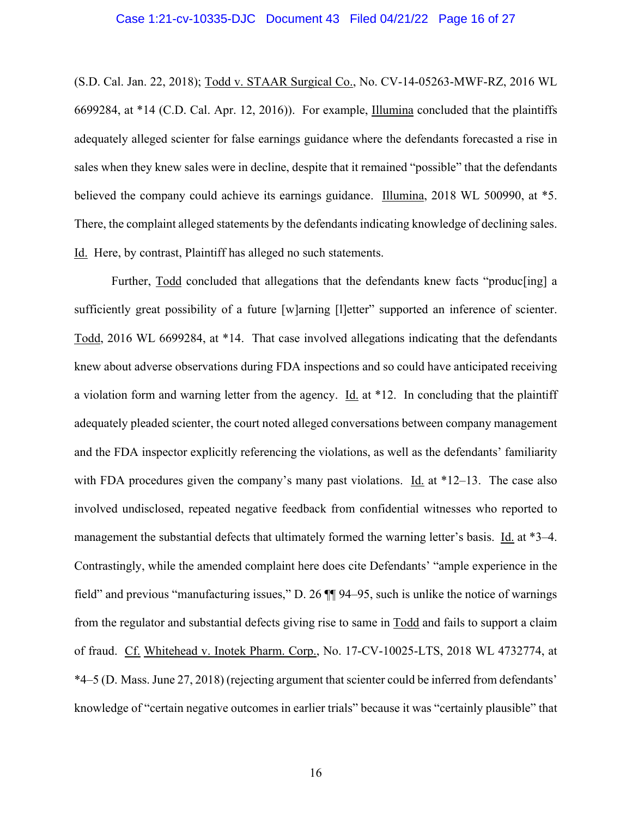## Case 1:21-cv-10335-DJC Document 43 Filed 04/21/22 Page 16 of 27

(S.D. Cal. Jan. 22, 2018); Todd v. STAAR Surgical Co., No. CV-14-05263-MWF-RZ, 2016 WL 6699284, at \*14 (C.D. Cal. Apr. 12, 2016)). For example, Illumina concluded that the plaintiffs adequately alleged scienter for false earnings guidance where the defendants forecasted a rise in sales when they knew sales were in decline, despite that it remained "possible" that the defendants believed the company could achieve its earnings guidance. Illumina, 2018 WL 500990, at \*5. There, the complaint alleged statements by the defendants indicating knowledge of declining sales. Id. Here, by contrast, Plaintiff has alleged no such statements.

Further, Todd concluded that allegations that the defendants knew facts "produc[ing] a sufficiently great possibility of a future [w]arning [l]etter" supported an inference of scienter. Todd, 2016 WL 6699284, at \*14. That case involved allegations indicating that the defendants knew about adverse observations during FDA inspections and so could have anticipated receiving a violation form and warning letter from the agency. Id. at \*12. In concluding that the plaintiff adequately pleaded scienter, the court noted alleged conversations between company management and the FDA inspector explicitly referencing the violations, as well as the defendants' familiarity with FDA procedures given the company's many past violations. Id. at  $*12-13$ . The case also involved undisclosed, repeated negative feedback from confidential witnesses who reported to management the substantial defects that ultimately formed the warning letter's basis. Id. at \*3–4. Contrastingly, while the amended complaint here does cite Defendants' "ample experience in the field" and previous "manufacturing issues," D. 26 ¶¶ 94–95, such is unlike the notice of warnings from the regulator and substantial defects giving rise to same in Todd and fails to support a claim of fraud. Cf. Whitehead v. Inotek Pharm. Corp., No. 17-CV-10025-LTS, 2018 WL 4732774, at \*4–5 (D. Mass. June 27, 2018) (rejecting argument that scienter could be inferred from defendants' knowledge of "certain negative outcomes in earlier trials" because it was "certainly plausible" that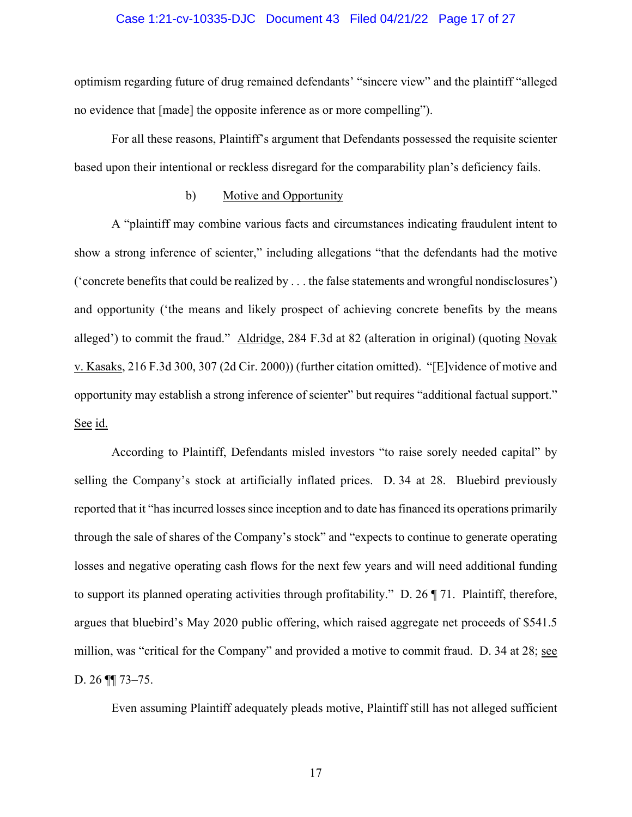### Case 1:21-cv-10335-DJC Document 43 Filed 04/21/22 Page 17 of 27

optimism regarding future of drug remained defendants' "sincere view" and the plaintiff "alleged no evidence that [made] the opposite inference as or more compelling").

For all these reasons, Plaintiff's argument that Defendants possessed the requisite scienter based upon their intentional or reckless disregard for the comparability plan's deficiency fails.

### b) Motive and Opportunity

A "plaintiff may combine various facts and circumstances indicating fraudulent intent to show a strong inference of scienter," including allegations "that the defendants had the motive ('concrete benefits that could be realized by . . . the false statements and wrongful nondisclosures') and opportunity ('the means and likely prospect of achieving concrete benefits by the means alleged') to commit the fraud." Aldridge, 284 F.3d at 82 (alteration in original) (quoting Novak v. Kasaks, 216 F.3d 300, 307 (2d Cir. 2000)) (further citation omitted). "[E]vidence of motive and opportunity may establish a strong inference of scienter" but requires "additional factual support." See id.

 According to Plaintiff, Defendants misled investors "to raise sorely needed capital" by selling the Company's stock at artificially inflated prices. D. 34 at 28. Bluebird previously reported that it "has incurred losses since inception and to date has financed its operations primarily through the sale of shares of the Company's stock" and "expects to continue to generate operating losses and negative operating cash flows for the next few years and will need additional funding to support its planned operating activities through profitability." D. 26 ¶ 71. Plaintiff, therefore, argues that bluebird's May 2020 public offering, which raised aggregate net proceeds of \$541.5 million, was "critical for the Company" and provided a motive to commit fraud. D. 34 at 28; see D. 26 ¶¶ 73–75.

Even assuming Plaintiff adequately pleads motive, Plaintiff still has not alleged sufficient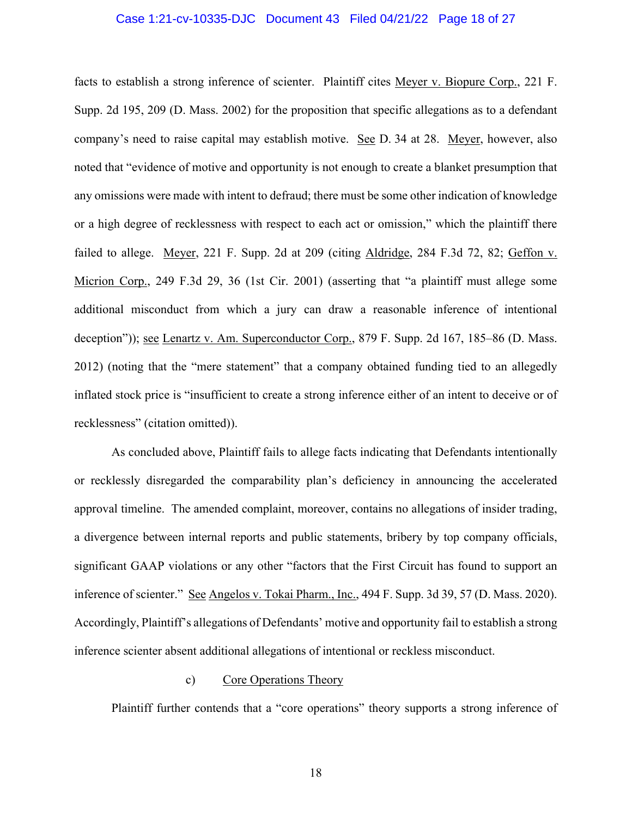### Case 1:21-cv-10335-DJC Document 43 Filed 04/21/22 Page 18 of 27

facts to establish a strong inference of scienter. Plaintiff cites Meyer v. Biopure Corp., 221 F. Supp. 2d 195, 209 (D. Mass. 2002) for the proposition that specific allegations as to a defendant company's need to raise capital may establish motive. See D. 34 at 28. Meyer, however, also noted that "evidence of motive and opportunity is not enough to create a blanket presumption that any omissions were made with intent to defraud; there must be some other indication of knowledge or a high degree of recklessness with respect to each act or omission," which the plaintiff there failed to allege. Meyer, 221 F. Supp. 2d at 209 (citing Aldridge, 284 F.3d 72, 82; Geffon v. Micrion Corp., 249 F.3d 29, 36 (1st Cir. 2001) (asserting that "a plaintiff must allege some additional misconduct from which a jury can draw a reasonable inference of intentional deception")); see Lenartz v. Am. Superconductor Corp., 879 F. Supp. 2d 167, 185–86 (D. Mass. 2012) (noting that the "mere statement" that a company obtained funding tied to an allegedly inflated stock price is "insufficient to create a strong inference either of an intent to deceive or of recklessness" (citation omitted)).

As concluded above, Plaintiff fails to allege facts indicating that Defendants intentionally or recklessly disregarded the comparability plan's deficiency in announcing the accelerated approval timeline. The amended complaint, moreover, contains no allegations of insider trading, a divergence between internal reports and public statements, bribery by top company officials, significant GAAP violations or any other "factors that the First Circuit has found to support an inference of scienter." See Angelos v. Tokai Pharm., Inc., 494 F. Supp. 3d 39, 57 (D. Mass. 2020). Accordingly, Plaintiff's allegations of Defendants' motive and opportunity fail to establish a strong inference scienter absent additional allegations of intentional or reckless misconduct.

### c) Core Operations Theory

Plaintiff further contends that a "core operations" theory supports a strong inference of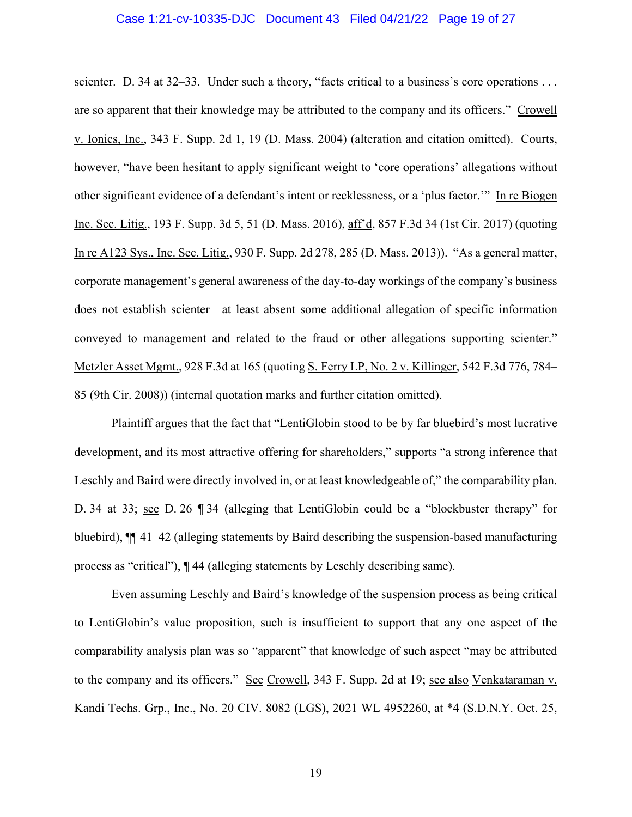## Case 1:21-cv-10335-DJC Document 43 Filed 04/21/22 Page 19 of 27

scienter. D. 34 at 32–33. Under such a theory, "facts critical to a business's core operations ... are so apparent that their knowledge may be attributed to the company and its officers." Crowell v. Ionics, Inc., 343 F. Supp. 2d 1, 19 (D. Mass. 2004) (alteration and citation omitted). Courts, however, "have been hesitant to apply significant weight to 'core operations' allegations without other significant evidence of a defendant's intent or recklessness, or a 'plus factor.'" In re Biogen Inc. Sec. Litig., 193 F. Supp. 3d 5, 51 (D. Mass. 2016), aff'd, 857 F.3d 34 (1st Cir. 2017) (quoting In re A123 Sys., Inc. Sec. Litig., 930 F. Supp. 2d 278, 285 (D. Mass. 2013)). "As a general matter, corporate management's general awareness of the day-to-day workings of the company's business does not establish scienter—at least absent some additional allegation of specific information conveyed to management and related to the fraud or other allegations supporting scienter." Metzler Asset Mgmt., 928 F.3d at 165 (quoting S. Ferry LP, No. 2 v. Killinger, 542 F.3d 776, 784– 85 (9th Cir. 2008)) (internal quotation marks and further citation omitted).

Plaintiff argues that the fact that "LentiGlobin stood to be by far bluebird's most lucrative development, and its most attractive offering for shareholders," supports "a strong inference that Leschly and Baird were directly involved in, or at least knowledgeable of," the comparability plan. D. 34 at 33; see D. 26 ¶ 34 (alleging that LentiGlobin could be a "blockbuster therapy" for bluebird), ¶¶ 41–42 (alleging statements by Baird describing the suspension-based manufacturing process as "critical"), ¶ 44 (alleging statements by Leschly describing same).

Even assuming Leschly and Baird's knowledge of the suspension process as being critical to LentiGlobin's value proposition, such is insufficient to support that any one aspect of the comparability analysis plan was so "apparent" that knowledge of such aspect "may be attributed to the company and its officers." See Crowell, 343 F. Supp. 2d at 19; see also Venkataraman v. Kandi Techs. Grp., Inc., No. 20 CIV. 8082 (LGS), 2021 WL 4952260, at \*4 (S.D.N.Y. Oct. 25,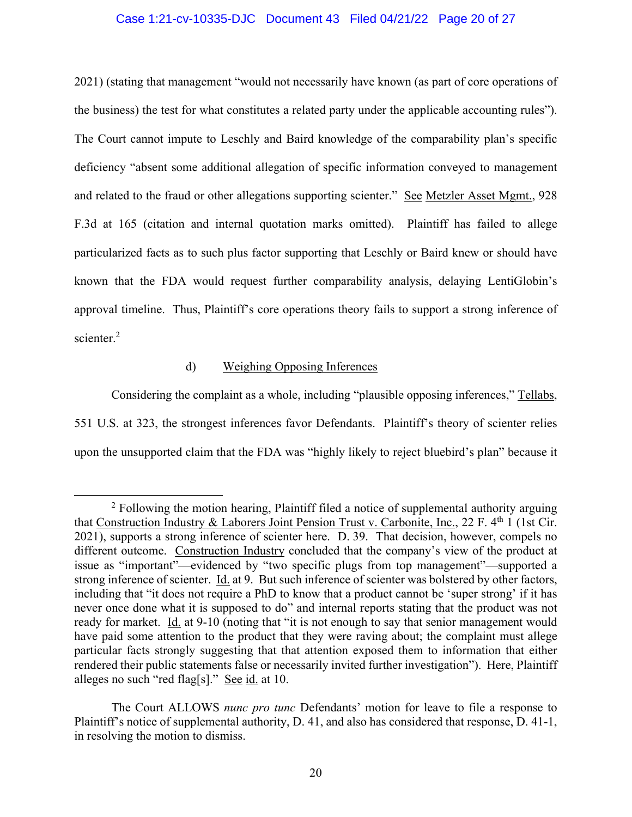### Case 1:21-cv-10335-DJC Document 43 Filed 04/21/22 Page 20 of 27

2021) (stating that management "would not necessarily have known (as part of core operations of the business) the test for what constitutes a related party under the applicable accounting rules"). The Court cannot impute to Leschly and Baird knowledge of the comparability plan's specific deficiency "absent some additional allegation of specific information conveyed to management and related to the fraud or other allegations supporting scienter." See Metzler Asset Mgmt., 928 F.3d at 165 (citation and internal quotation marks omitted). Plaintiff has failed to allege particularized facts as to such plus factor supporting that Leschly or Baird knew or should have known that the FDA would request further comparability analysis, delaying LentiGlobin's approval timeline. Thus, Plaintiff's core operations theory fails to support a strong inference of scienter.<sup>2</sup>

# d) Weighing Opposing Inferences

Considering the complaint as a whole, including "plausible opposing inferences," Tellabs, 551 U.S. at 323, the strongest inferences favor Defendants. Plaintiff's theory of scienter relies upon the unsupported claim that the FDA was "highly likely to reject bluebird's plan" because it

<sup>&</sup>lt;sup>2</sup> Following the motion hearing, Plaintiff filed a notice of supplemental authority arguing that Construction Industry & Laborers Joint Pension Trust v. Carbonite, Inc., 22 F.  $4<sup>th</sup>$  1 (1st Cir. 2021), supports a strong inference of scienter here. D. 39. That decision, however, compels no different outcome. Construction Industry concluded that the company's view of the product at issue as "important"—evidenced by "two specific plugs from top management"—supported a strong inference of scienter. Id. at 9. But such inference of scienter was bolstered by other factors, including that "it does not require a PhD to know that a product cannot be 'super strong' if it has never once done what it is supposed to do" and internal reports stating that the product was not ready for market. Id. at 9-10 (noting that "it is not enough to say that senior management would have paid some attention to the product that they were raving about; the complaint must allege particular facts strongly suggesting that that attention exposed them to information that either rendered their public statements false or necessarily invited further investigation"). Here, Plaintiff alleges no such "red flag[s]." See id. at 10.

The Court ALLOWS *nunc pro tunc* Defendants' motion for leave to file a response to Plaintiff's notice of supplemental authority, D. 41, and also has considered that response, D. 41-1, in resolving the motion to dismiss.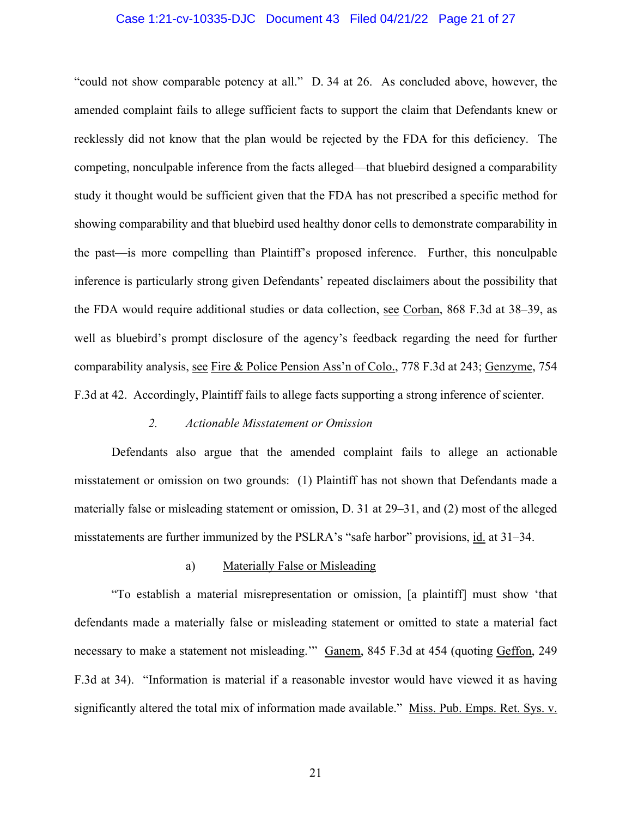## Case 1:21-cv-10335-DJC Document 43 Filed 04/21/22 Page 21 of 27

"could not show comparable potency at all." D. 34 at 26. As concluded above, however, the amended complaint fails to allege sufficient facts to support the claim that Defendants knew or recklessly did not know that the plan would be rejected by the FDA for this deficiency. The competing, nonculpable inference from the facts alleged—that bluebird designed a comparability study it thought would be sufficient given that the FDA has not prescribed a specific method for showing comparability and that bluebird used healthy donor cells to demonstrate comparability in the past—is more compelling than Plaintiff's proposed inference. Further, this nonculpable inference is particularly strong given Defendants' repeated disclaimers about the possibility that the FDA would require additional studies or data collection, see Corban, 868 F.3d at 38–39, as well as bluebird's prompt disclosure of the agency's feedback regarding the need for further comparability analysis, see Fire & Police Pension Ass'n of Colo., 778 F.3d at 243; Genzyme, 754 F.3d at 42. Accordingly, Plaintiff fails to allege facts supporting a strong inference of scienter.

#### *2. Actionable Misstatement or Omission*

Defendants also argue that the amended complaint fails to allege an actionable misstatement or omission on two grounds: (1) Plaintiff has not shown that Defendants made a materially false or misleading statement or omission, D. 31 at 29–31, and (2) most of the alleged misstatements are further immunized by the PSLRA's "safe harbor" provisions, id. at 31–34.

### a) Materially False or Misleading

"To establish a material misrepresentation or omission, [a plaintiff] must show 'that defendants made a materially false or misleading statement or omitted to state a material fact necessary to make a statement not misleading." Ganem, 845 F.3d at 454 (quoting Geffon, 249 F.3d at 34). "Information is material if a reasonable investor would have viewed it as having significantly altered the total mix of information made available." Miss. Pub. Emps. Ret. Sys. v.

21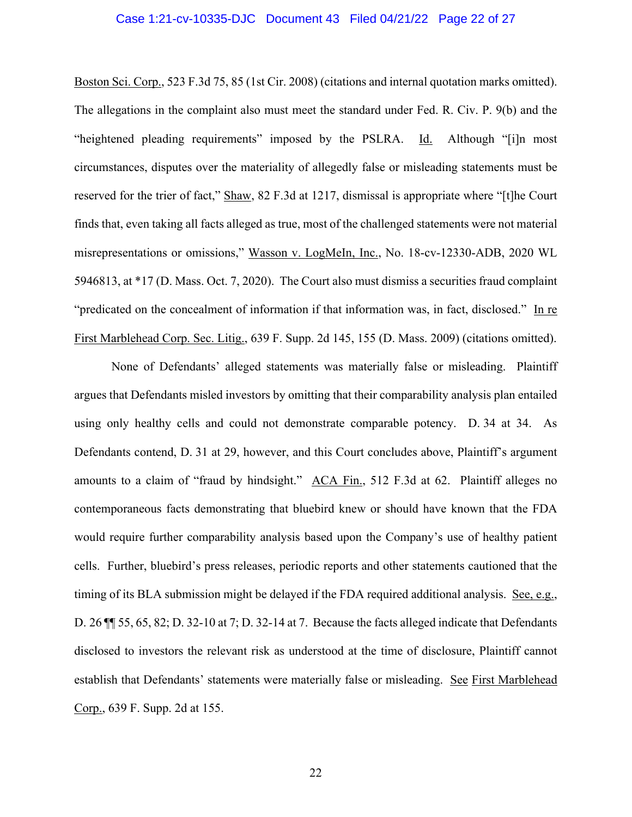### Case 1:21-cv-10335-DJC Document 43 Filed 04/21/22 Page 22 of 27

Boston Sci. Corp., 523 F.3d 75, 85 (1st Cir. 2008) (citations and internal quotation marks omitted). The allegations in the complaint also must meet the standard under Fed. R. Civ. P. 9(b) and the "heightened pleading requirements" imposed by the PSLRA. Id. Although "[i]n most circumstances, disputes over the materiality of allegedly false or misleading statements must be reserved for the trier of fact," Shaw, 82 F.3d at 1217, dismissal is appropriate where "[t]he Court finds that, even taking all facts alleged as true, most of the challenged statements were not material misrepresentations or omissions," Wasson v. LogMeIn, Inc., No. 18-cv-12330-ADB, 2020 WL 5946813, at \*17 (D. Mass. Oct. 7, 2020). The Court also must dismiss a securities fraud complaint "predicated on the concealment of information if that information was, in fact, disclosed." In re First Marblehead Corp. Sec. Litig., 639 F. Supp. 2d 145, 155 (D. Mass. 2009) (citations omitted).

None of Defendants' alleged statements was materially false or misleading. Plaintiff argues that Defendants misled investors by omitting that their comparability analysis plan entailed using only healthy cells and could not demonstrate comparable potency. D. 34 at 34. As Defendants contend, D. 31 at 29, however, and this Court concludes above, Plaintiff's argument amounts to a claim of "fraud by hindsight." ACA Fin., 512 F.3d at 62. Plaintiff alleges no contemporaneous facts demonstrating that bluebird knew or should have known that the FDA would require further comparability analysis based upon the Company's use of healthy patient cells. Further, bluebird's press releases, periodic reports and other statements cautioned that the timing of its BLA submission might be delayed if the FDA required additional analysis. See, e.g., D. 26 ¶¶ 55, 65, 82; D. 32-10 at 7; D. 32-14 at 7. Because the facts alleged indicate that Defendants disclosed to investors the relevant risk as understood at the time of disclosure, Plaintiff cannot establish that Defendants' statements were materially false or misleading. See First Marblehead Corp., 639 F. Supp. 2d at 155.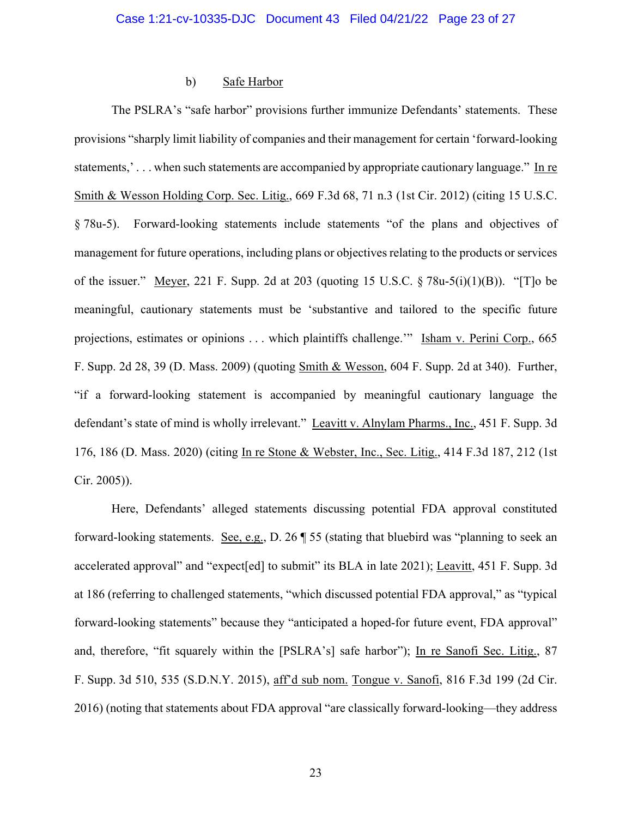### b) Safe Harbor

The PSLRA's "safe harbor" provisions further immunize Defendants' statements. These provisions "sharply limit liability of companies and their management for certain 'forward-looking statements,' . . . when such statements are accompanied by appropriate cautionary language." In re Smith & Wesson Holding Corp. Sec. Litig., 669 F.3d 68, 71 n.3 (1st Cir. 2012) (citing 15 U.S.C. § 78u-5). Forward-looking statements include statements "of the plans and objectives of management for future operations, including plans or objectives relating to the products or services of the issuer." Meyer, 221 F. Supp. 2d at 203 (quoting 15 U.S.C.  $\S 78u-5(i)(1)(B)$ ). "[T]o be meaningful, cautionary statements must be 'substantive and tailored to the specific future projections, estimates or opinions . . . which plaintiffs challenge." Isham v. Perini Corp., 665 F. Supp. 2d 28, 39 (D. Mass. 2009) (quoting Smith & Wesson, 604 F. Supp. 2d at 340). Further, "if a forward-looking statement is accompanied by meaningful cautionary language the defendant's state of mind is wholly irrelevant." Leavitt v. Alnylam Pharms., Inc., 451 F. Supp. 3d 176, 186 (D. Mass. 2020) (citing In re Stone & Webster, Inc., Sec. Litig., 414 F.3d 187, 212 (1st Cir. 2005)).

Here, Defendants' alleged statements discussing potential FDA approval constituted forward-looking statements. See, e.g., D. 26 ¶ 55 (stating that bluebird was "planning to seek an accelerated approval" and "expect[ed] to submit" its BLA in late 2021); Leavitt, 451 F. Supp. 3d at 186 (referring to challenged statements, "which discussed potential FDA approval," as "typical forward-looking statements" because they "anticipated a hoped-for future event, FDA approval" and, therefore, "fit squarely within the [PSLRA's] safe harbor"); In re Sanofi Sec. Litig., 87 F. Supp. 3d 510, 535 (S.D.N.Y. 2015), aff'd sub nom. Tongue v. Sanofi, 816 F.3d 199 (2d Cir. 2016) (noting that statements about FDA approval "are classically forward-looking—they address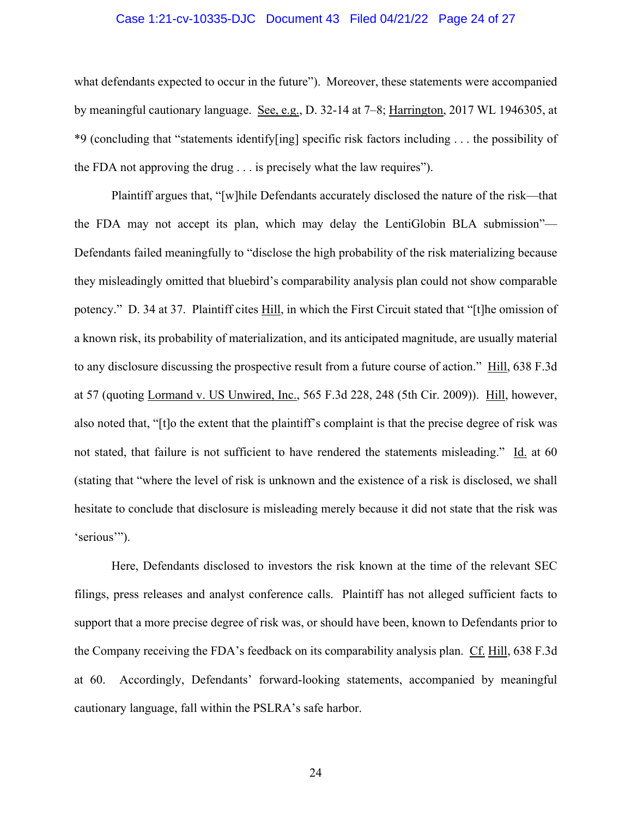#### Case 1:21-cv-10335-DJC Document 43 Filed 04/21/22 Page 24 of 27

what defendants expected to occur in the future"). Moreover, these statements were accompanied by meaningful cautionary language. See, e.g., D. 32-14 at 7–8; Harrington, 2017 WL 1946305, at \*9 (concluding that "statements identify[ing] specific risk factors including . . . the possibility of the FDA not approving the drug . . . is precisely what the law requires").

Plaintiff argues that, "[w]hile Defendants accurately disclosed the nature of the risk—that the FDA may not accept its plan, which may delay the LentiGlobin BLA submission"— Defendants failed meaningfully to "disclose the high probability of the risk materializing because they misleadingly omitted that bluebird's comparability analysis plan could not show comparable potency." D. 34 at 37. Plaintiff cites Hill, in which the First Circuit stated that "[t]he omission of a known risk, its probability of materialization, and its anticipated magnitude, are usually material to any disclosure discussing the prospective result from a future course of action." Hill, 638 F.3d at 57 (quoting Lormand v. US Unwired, Inc., 565 F.3d 228, 248 (5th Cir. 2009)). Hill, however, also noted that, "[t]o the extent that the plaintiff's complaint is that the precise degree of risk was not stated, that failure is not sufficient to have rendered the statements misleading." Id. at 60 (stating that "where the level of risk is unknown and the existence of a risk is disclosed, we shall hesitate to conclude that disclosure is misleading merely because it did not state that the risk was 'serious'").

Here, Defendants disclosed to investors the risk known at the time of the relevant SEC filings, press releases and analyst conference calls. Plaintiff has not alleged sufficient facts to support that a more precise degree of risk was, or should have been, known to Defendants prior to the Company receiving the FDA's feedback on its comparability analysis plan. Cf. Hill, 638 F.3d at 60. Accordingly, Defendants' forward-looking statements, accompanied by meaningful cautionary language, fall within the PSLRA's safe harbor.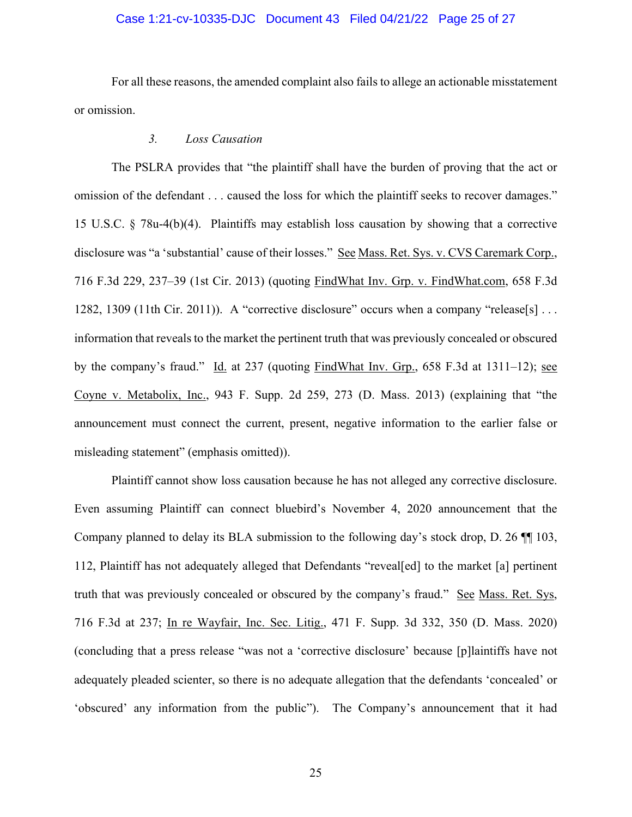## Case 1:21-cv-10335-DJC Document 43 Filed 04/21/22 Page 25 of 27

For all these reasons, the amended complaint also fails to allege an actionable misstatement or omission.

### *3. Loss Causation*

The PSLRA provides that "the plaintiff shall have the burden of proving that the act or omission of the defendant . . . caused the loss for which the plaintiff seeks to recover damages." 15 U.S.C. § 78u-4(b)(4). Plaintiffs may establish loss causation by showing that a corrective disclosure was "a 'substantial' cause of their losses." See Mass. Ret. Sys. v. CVS Caremark Corp., 716 F.3d 229, 237–39 (1st Cir. 2013) (quoting FindWhat Inv. Grp. v. FindWhat.com, 658 F.3d 1282, 1309 (11th Cir. 2011)). A "corrective disclosure" occurs when a company "release[s]... information that reveals to the market the pertinent truth that was previously concealed or obscured by the company's fraud." Id. at 237 (quoting FindWhat Inv. Grp., 658 F.3d at 1311–12); see Coyne v. Metabolix, Inc., 943 F. Supp. 2d 259, 273 (D. Mass. 2013) (explaining that "the announcement must connect the current, present, negative information to the earlier false or misleading statement" (emphasis omitted)).

Plaintiff cannot show loss causation because he has not alleged any corrective disclosure. Even assuming Plaintiff can connect bluebird's November 4, 2020 announcement that the Company planned to delay its BLA submission to the following day's stock drop, D. 26 ¶¶ 103, 112, Plaintiff has not adequately alleged that Defendants "reveal[ed] to the market [a] pertinent truth that was previously concealed or obscured by the company's fraud." See Mass. Ret. Sys, 716 F.3d at 237; In re Wayfair, Inc. Sec. Litig., 471 F. Supp. 3d 332, 350 (D. Mass. 2020) (concluding that a press release "was not a 'corrective disclosure' because [p]laintiffs have not adequately pleaded scienter, so there is no adequate allegation that the defendants 'concealed' or 'obscured' any information from the public"). The Company's announcement that it had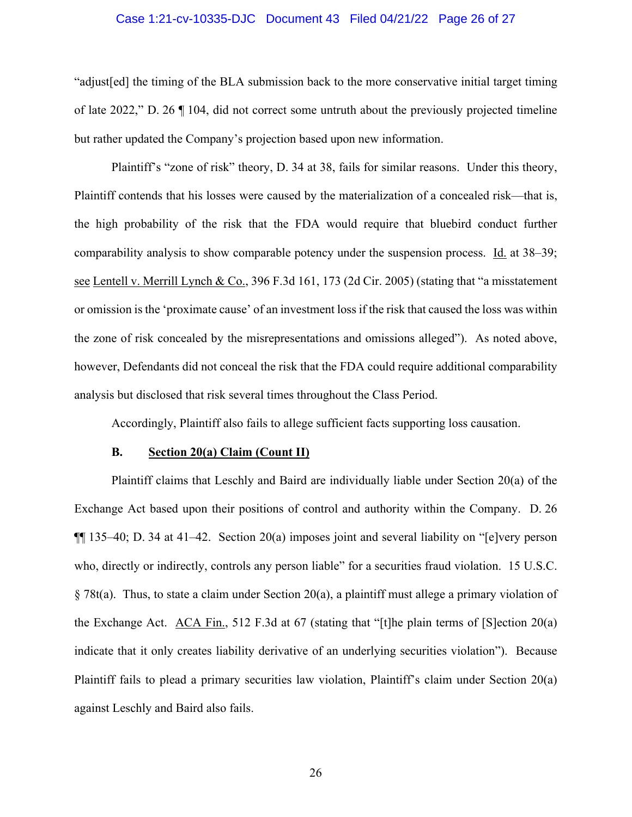### Case 1:21-cv-10335-DJC Document 43 Filed 04/21/22 Page 26 of 27

"adjust[ed] the timing of the BLA submission back to the more conservative initial target timing of late 2022," D. 26 ¶ 104, did not correct some untruth about the previously projected timeline but rather updated the Company's projection based upon new information.

Plaintiff's "zone of risk" theory, D. 34 at 38, fails for similar reasons. Under this theory, Plaintiff contends that his losses were caused by the materialization of a concealed risk—that is, the high probability of the risk that the FDA would require that bluebird conduct further comparability analysis to show comparable potency under the suspension process. Id. at 38–39; see Lentell v. Merrill Lynch & Co., 396 F.3d 161, 173 (2d Cir. 2005) (stating that "a misstatement or omission is the 'proximate cause' of an investment loss if the risk that caused the loss was within the zone of risk concealed by the misrepresentations and omissions alleged"). As noted above, however, Defendants did not conceal the risk that the FDA could require additional comparability analysis but disclosed that risk several times throughout the Class Period.

Accordingly, Plaintiff also fails to allege sufficient facts supporting loss causation.

#### **B. Section 20(a) Claim (Count II)**

Plaintiff claims that Leschly and Baird are individually liable under Section 20(a) of the Exchange Act based upon their positions of control and authority within the Company. D. 26 ¶¶ 135–40; D. 34 at 41–42. Section 20(a) imposes joint and several liability on "[e]very person who, directly or indirectly, controls any person liable" for a securities fraud violation. 15 U.S.C. § 78t(a). Thus, to state a claim under Section 20(a), a plaintiff must allege a primary violation of the Exchange Act.  $\overline{ACA}$  Fin., 512 F.3d at 67 (stating that "[t]he plain terms of [S]ection 20(a) indicate that it only creates liability derivative of an underlying securities violation"). Because Plaintiff fails to plead a primary securities law violation, Plaintiff's claim under Section 20(a) against Leschly and Baird also fails.